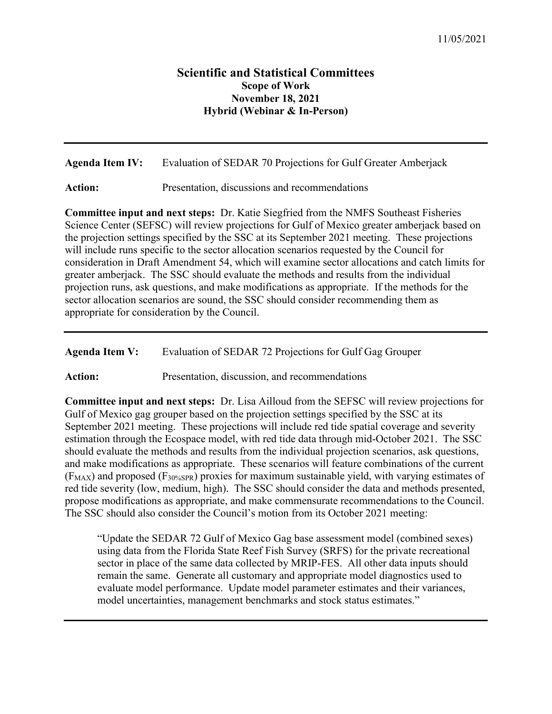## **Scientific and Statistical Committees Scope of Work November 18, 2021 Hybrid (Webinar & In-Person)**

**Agenda Item IV:** Evaluation of SEDAR 70 Projections for Gulf Greater Amberjack

Action: Presentation, discussions and recommendations

**Committee input and next steps:** Dr. Katie Siegfried from the NMFS Southeast Fisheries Science Center (SEFSC) will review projections for Gulf of Mexico greater amberjack based on the projection settings specified by the SSC at its September 2021 meeting. These projections will include runs specific to the sector allocation scenarios requested by the Council for consideration in Draft Amendment 54, which will examine sector allocations and catch limits for greater amberjack. The SSC should evaluate the methods and results from the individual projection runs, ask questions, and make modifications as appropriate. If the methods for the sector allocation scenarios are sound, the SSC should consider recommending them as appropriate for consideration by the Council.

**Agenda Item V:** Evaluation of SEDAR 72 Projections for Gulf Gag Grouper

Action: Presentation, discussion, and recommendations

**Committee input and next steps:** Dr. Lisa Ailloud from the SEFSC will review projections for Gulf of Mexico gag grouper based on the projection settings specified by the SSC at its September 2021 meeting. These projections will include red tide spatial coverage and severity estimation through the Ecospace model, with red tide data through mid-October 2021. The SSC should evaluate the methods and results from the individual projection scenarios, ask questions, and make modifications as appropriate. These scenarios will feature combinations of the current  $(F_{MAX})$  and proposed  $(F_{30\%SPR})$  proxies for maximum sustainable yield, with varying estimates of red tide severity (low, medium, high). The SSC should consider the data and methods presented, propose modifications as appropriate, and make commensurate recommendations to the Council. The SSC should also consider the Council's motion from its October 2021 meeting:

"Update the SEDAR 72 Gulf of Mexico Gag base assessment model (combined sexes) using data from the Florida State Reef Fish Survey (SRFS) for the private recreational sector in place of the same data collected by MRIP-FES. All other data inputs should remain the same. Generate all customary and appropriate model diagnostics used to evaluate model performance. Update model parameter estimates and their variances, model uncertainties, management benchmarks and stock status estimates."